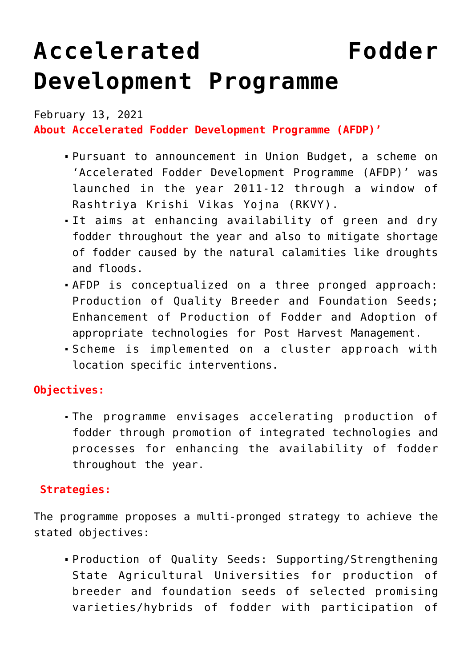## **[Accelerated Fodder](https://journalsofindia.com/accelerated-fodder-development-programme/) [Development Programme](https://journalsofindia.com/accelerated-fodder-development-programme/)**

February 13, 2021 **About Accelerated Fodder Development Programme (AFDP)'**

- Pursuant to announcement in Union Budget, a scheme on 'Accelerated Fodder Development Programme (AFDP)' was launched in the year 2011-12 through a window of Rashtriya Krishi Vikas Yojna (RKVY).
- It aims at enhancing availability of green and dry fodder throughout the year and also to mitigate shortage of fodder caused by the natural calamities like droughts and floods.
- AFDP is conceptualized on a three pronged approach: Production of Quality Breeder and Foundation Seeds; Enhancement of Production of Fodder and Adoption of appropriate technologies for Post Harvest Management.
- Scheme is implemented on a cluster approach with location specific interventions.

## **Objectives:**

The programme envisages accelerating production of fodder through promotion of integrated technologies and processes for enhancing the availability of fodder throughout the year.

## **Strategies:**

The programme proposes a multi-pronged strategy to achieve the stated objectives:

Production of Quality Seeds: Supporting/Strengthening State Agricultural Universities for production of breeder and foundation seeds of selected promising varieties/hybrids of fodder with participation of